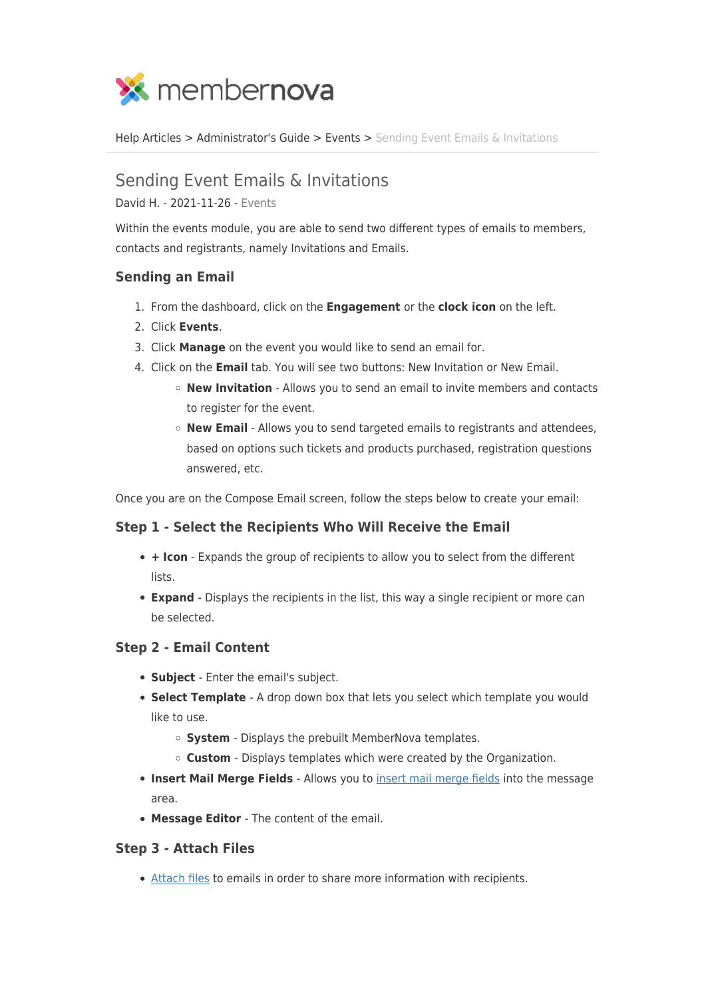

[Help Articles](https://www.membernovasupport.com/kb) > [Administrator's Guide](https://www.membernovasupport.com/kb/administrator-s-guide) > [Events](https://www.membernovasupport.com/kb/events-3) > [Sending Event Emails & Invitations](https://www.membernovasupport.com/kb/articles/sending-event-emails-invitations)

# Sending Event Emails & Invitations

David H. - 2021-11-26 - [Events](https://www.membernovasupport.com/kb/events-3)

Within the events module, you are able to send two different types of emails to members, contacts and registrants, namely Invitations and Emails.

### **Sending an Email**

- 1. From the dashboard, click on the **Engagement** or the **clock icon** on the left.
- 2. Click **Events**.
- 3. Click **Manage** on the event you would like to send an email for.
- 4. Click on the **Email** tab. You will see two buttons: New Invitation or New Email.
	- **New Invitation** Allows you to send an email to invite members and contacts to register for the event.
	- **New Email** Allows you to send targeted emails to registrants and attendees, based on options such tickets and products purchased, registration questions answered, etc.

Once you are on the Compose Email screen, follow the steps below to create your email:

## **Step 1 - Select the Recipients Who Will Receive the Email**

- **+ Icon** Expands the group of recipients to allow you to select from the different lists.
- **Expand**  Displays the recipients in the list, this way a single recipient or more can be selected.

#### **Step 2 - Email Content**

- **Subject**  Enter the email's subject.
- **Select Template**  A drop down box that lets you select which template you would like to use.
	- **System**  Displays the prebuilt MemberNova templates.
	- **Custom**  Displays templates which were created by the Organization.
- **Insert Mail Merge Fields**  Allows you to [insert mail merge fields](https://www.membernovasupport.com/kb/articles/how-do-i-use-merge-fields) into the message area.
- **Message Editor**  The content of the email.

#### **Step 3 - Attach Files**

[Attach files](https://www.membernovasupport.com/kb/articles/how-do-i-add-an-attachment-to-an-email-2) to emails in order to share more information with recipients.